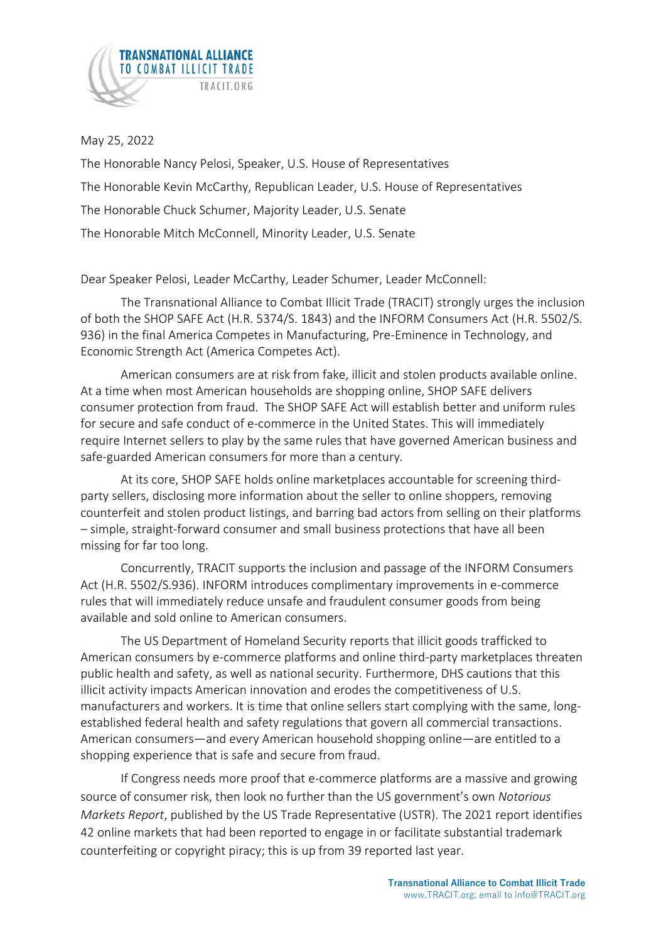

May 25, 2022

The Honorable Nancy Pelosi, Speaker, U.S. House of Representatives The Honorable Kevin McCarthy, Republican Leader, U.S. House of Representatives The Honorable Chuck Schumer, Majority Leader, U.S. Senate The Honorable Mitch McConnell, Minority Leader, U.S. Senate

Dear Speaker Pelosi, Leader McCarthy, Leader Schumer, Leader McConnell:

The Transnational Alliance to Combat Illicit Trade (TRACIT) strongly urges the inclusion of both the SHOP SAFE Act (H.R. 5374/S. 1843) and the INFORM Consumers Act (H.R. 5502/S. 936) in the final America Competes in Manufacturing, Pre-Eminence in Technology, and Economic Strength Act (America Competes Act).

American consumers are at risk from fake, illicit and stolen products available online. At a time when most American households are shopping online, SHOP SAFE delivers consumer protection from fraud. The SHOP SAFE Act will establish better and uniform rules for secure and safe conduct of e-commerce in the United States. This will immediately require Internet sellers to play by the same rules that have governed American business and safe-guarded American consumers for more than a century.

At its core, SHOP SAFE holds online marketplaces accountable for screening thirdparty sellers, disclosing more information about the seller to online shoppers, removing counterfeit and stolen product listings, and barring bad actors from selling on their platforms – simple, straight-forward consumer and small business protections that have all been missing for far too long.

Concurrently, TRACIT supports the inclusion and passage of the INFORM Consumers Act (H.R. 5502/S.936). INFORM introduces complimentary improvements in e-commerce rules that will immediately reduce unsafe and fraudulent consumer goods from being available and sold online to American consumers.

The US Department of Homeland Security reports that illicit goods trafficked to American consumers by e-commerce platforms and online third-party marketplaces threaten public health and safety, as well as national security. Furthermore, DHS cautions that this illicit activity impacts American innovation and erodes the competitiveness of U.S. manufacturers and workers. It is time that online sellers start complying with the same, longestablished federal health and safety regulations that govern all commercial transactions. American consumers—and every American household shopping online—are entitled to a shopping experience that is safe and secure from fraud.

If Congress needs more proof that e-commerce platforms are a massive and growing source of consumer risk, then look no further than the US government's own *Notorious Markets Report*, published by the US Trade Representative (USTR). The 2021 report identifies 42 online markets that had been reported to engage in or facilitate substantial trademark counterfeiting or copyright piracy; this is up from 39 reported last year.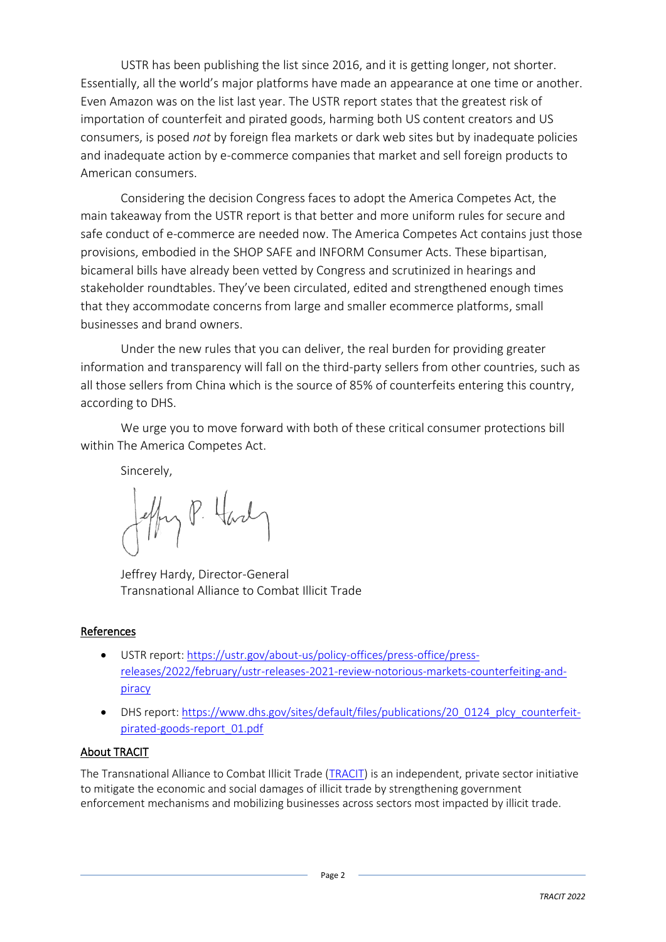USTR has been publishing the list since 2016, and it is getting longer, not shorter. Essentially, all the world's major platforms have made an appearance at one time or another. Even Amazon was on the list last year. The USTR report states that the greatest risk of importation of counterfeit and pirated goods, harming both US content creators and US consumers, is posed *not* by foreign flea markets or dark web sites but by inadequate policies and inadequate action by e-commerce companies that market and sell foreign products to American consumers.

Considering the decision Congress faces to adopt the America Competes Act, the main takeaway from the USTR report is that better and more uniform rules for secure and safe conduct of e-commerce are needed now. The America Competes Act contains just those provisions, embodied in the SHOP SAFE and INFORM Consumer Acts. These bipartisan, bicameral bills have already been vetted by Congress and scrutinized in hearings and stakeholder roundtables. They've been circulated, edited and strengthened enough times that they accommodate concerns from large and smaller ecommerce platforms, small businesses and brand owners.

Under the new rules that you can deliver, the real burden for providing greater information and transparency will fall on the third-party sellers from other countries, such as all those sellers from China which is the source of 85% of counterfeits entering this country, according to DHS.

We urge you to move forward with both of these critical consumer protections bill within The America Competes Act.

Sincerely,

z P. Hard

Jeffrey Hardy, Director-General Transnational Alliance to Combat Illicit Trade

## References

- USTR report: [https://ustr.gov/about-us/policy-offices/press-office/press](https://ustr.gov/about-us/policy-offices/press-office/press-releases/2022/february/ustr-releases-2021-review-notorious-markets-counterfeiting-and-piracy)[releases/2022/february/ustr-releases-2021-review-notorious-markets-counterfeiting-and](https://ustr.gov/about-us/policy-offices/press-office/press-releases/2022/february/ustr-releases-2021-review-notorious-markets-counterfeiting-and-piracy)[piracy](https://ustr.gov/about-us/policy-offices/press-office/press-releases/2022/february/ustr-releases-2021-review-notorious-markets-counterfeiting-and-piracy)
- DHS report[: https://www.dhs.gov/sites/default/files/publications/20\\_0124\\_plcy\\_counterfeit](https://www.dhs.gov/sites/default/files/publications/20_0124_plcy_counterfeit-pirated-goods-report_01.pdf)[pirated-goods-report\\_01.pdf](https://www.dhs.gov/sites/default/files/publications/20_0124_plcy_counterfeit-pirated-goods-report_01.pdf)

## About TRACIT

The Transnational Alliance to Combat Illicit Trade [\(TRACIT\)](http://www.tracit.org/) is an independent, private sector initiative to mitigate the economic and social damages of illicit trade by strengthening government enforcement mechanisms and mobilizing businesses across sectors most impacted by illicit trade.